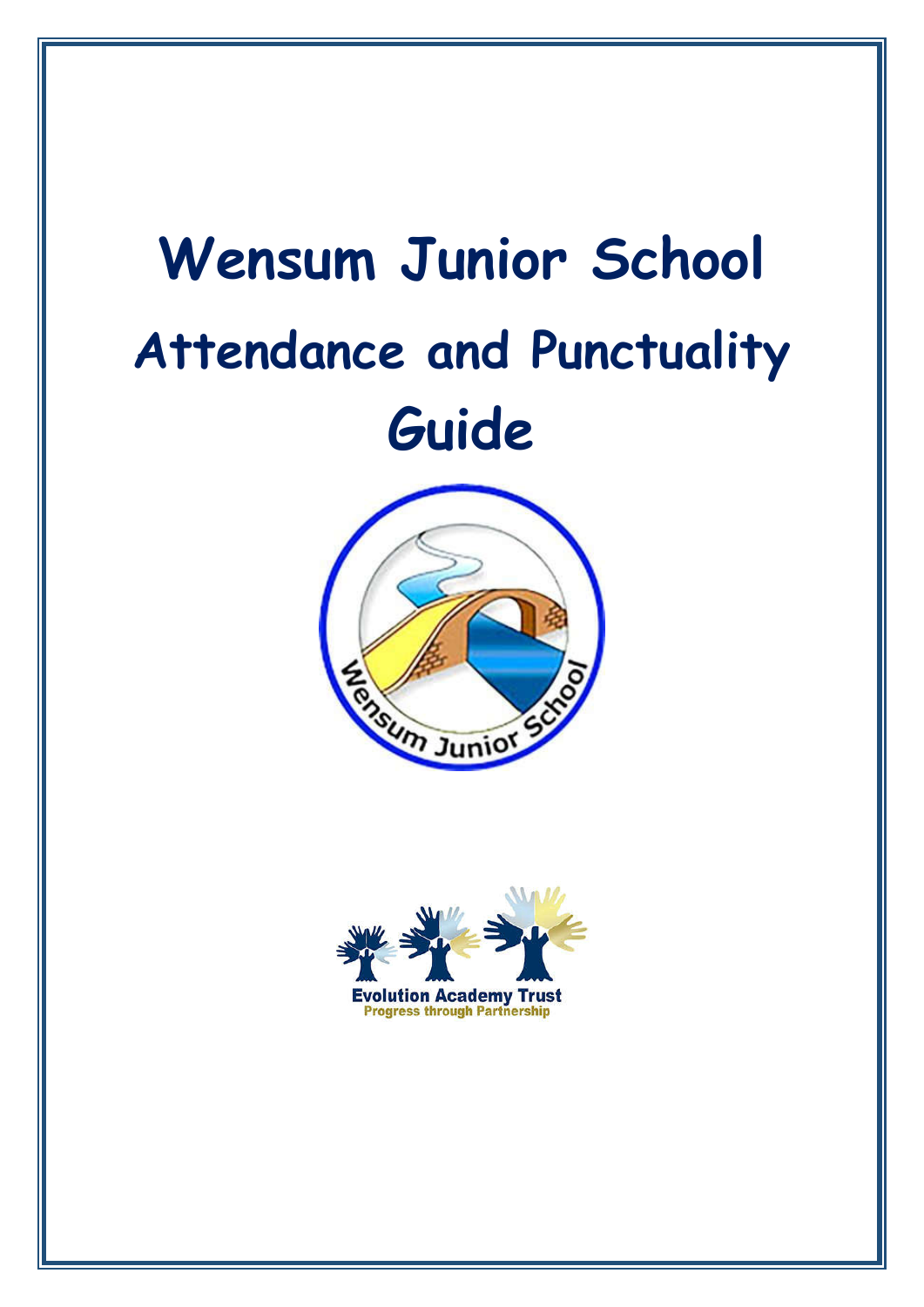# **Wensum Junior School Attendance and Punctuality Guide**



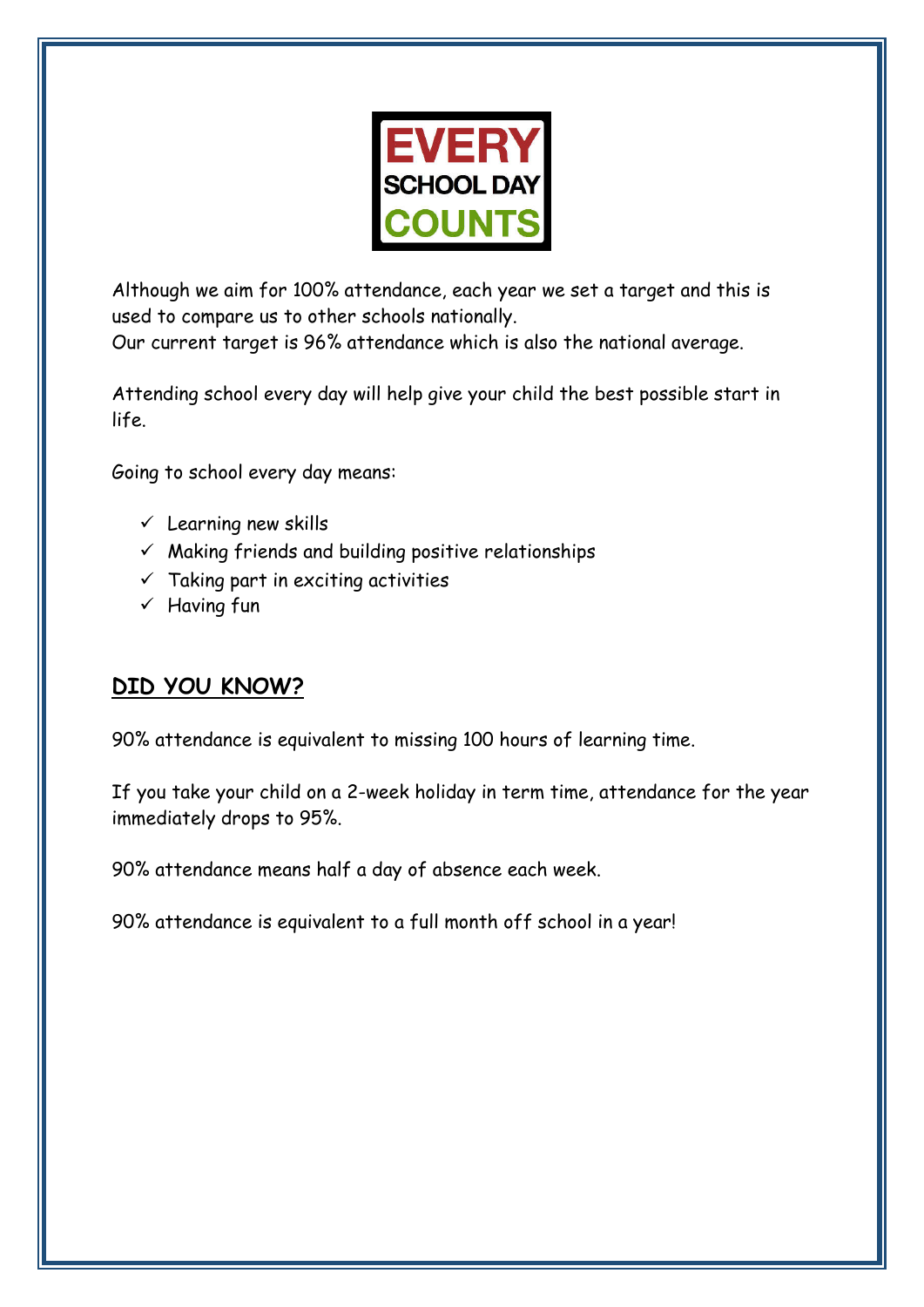

Although we aim for 100% attendance, each year we set a target and this is used to compare us to other schools nationally.

Our current target is 96% attendance which is also the national average.

Attending school every day will help give your child the best possible start in life.

Going to school every day means:

- $\checkmark$  Learning new skills
- $\checkmark$  Making friends and building positive relationships
- $\checkmark$  Taking part in exciting activities
- $\checkmark$  Having fun

# **DID YOU KNOW?**

90% attendance is equivalent to missing 100 hours of learning time.

If you take your child on a 2-week holiday in term time, attendance for the year immediately drops to 95%.

90% attendance means half a day of absence each week.

90% attendance is equivalent to a full month off school in a year!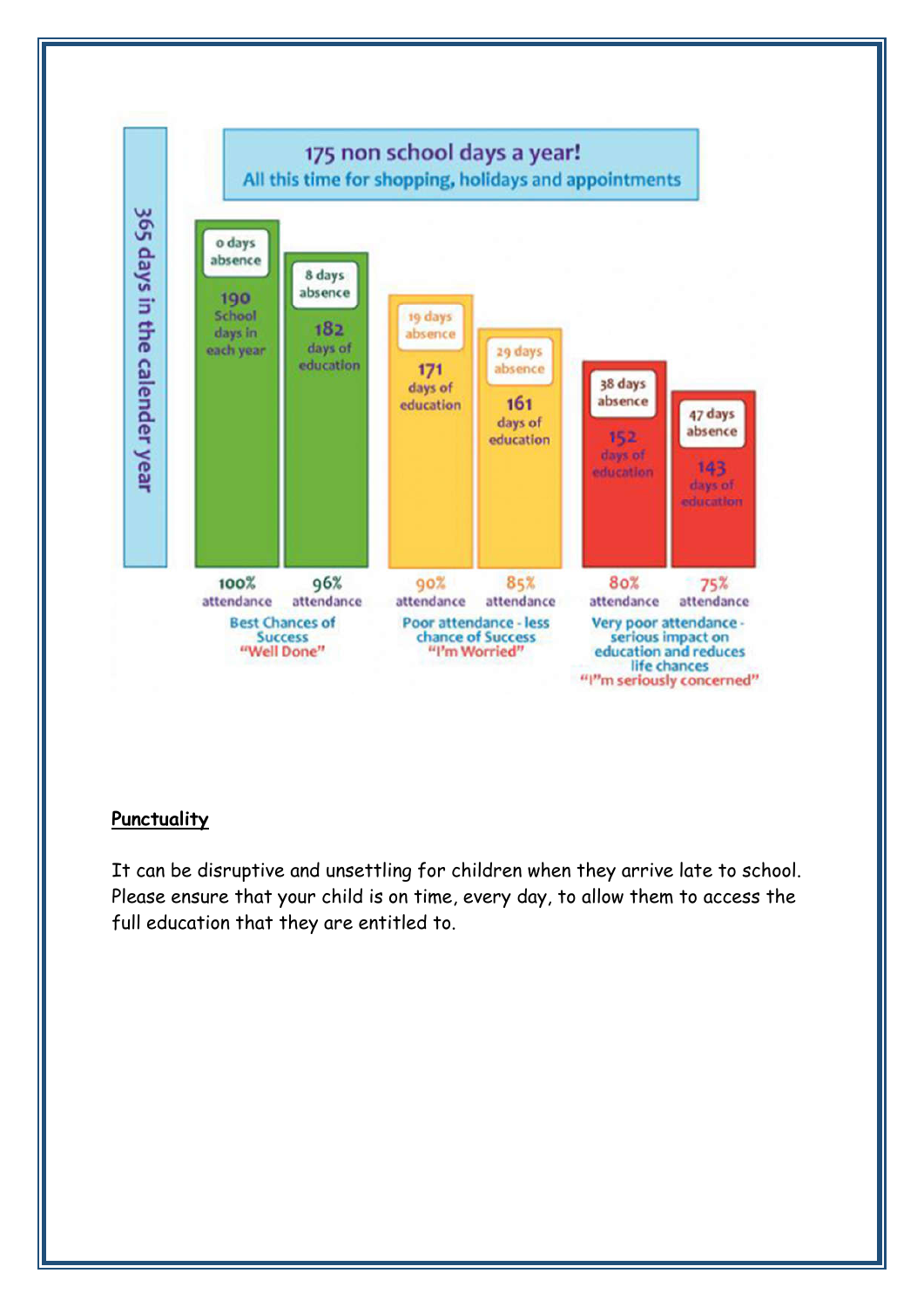

#### **Punctuality**

It can be disruptive and unsettling for children when they arrive late to school. Please ensure that your child is on time, every day, to allow them to access the full education that they are entitled to.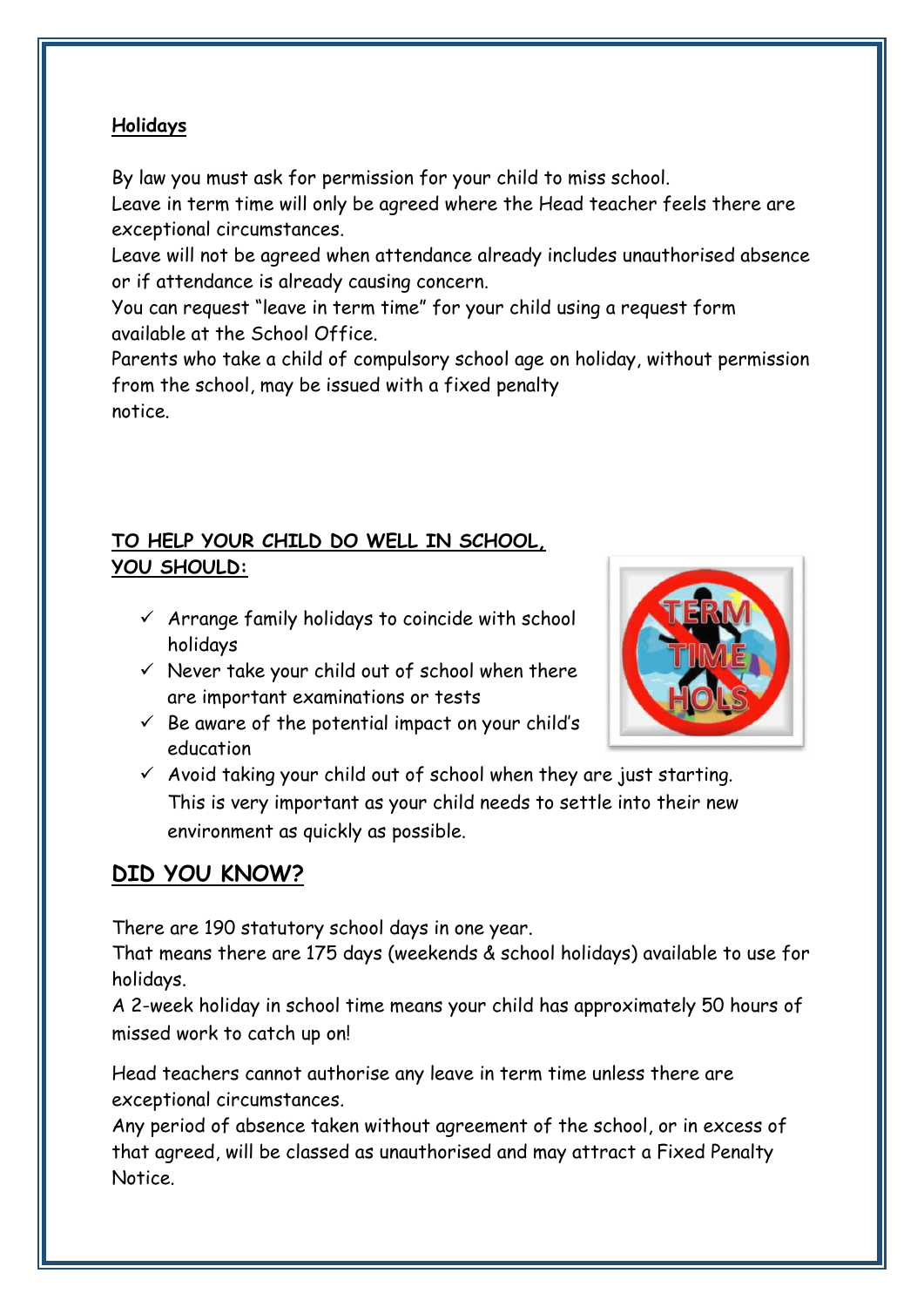## **Holidays**

By law you must ask for permission for your child to miss school.

Leave in term time will only be agreed where the Head teacher feels there are exceptional circumstances.

Leave will not be agreed when attendance already includes unauthorised absence or if attendance is already causing concern.

You can request "leave in term time" for your child using a request form available at the School Office.

Parents who take a child of compulsory school age on holiday, without permission from the school, may be issued with a fixed penalty notice.

# **TO HELP YOUR CHILD DO WELL IN SCHOOL, YOU SHOULD:**

- $\checkmark$  Arrange family holidays to coincide with school holidays
- $\checkmark$  Never take your child out of school when there are important examinations or tests
- $\checkmark$  Be aware of the potential impact on your child's education



 $\checkmark$  Avoid taking your child out of school when they are just starting. This is very important as your child needs to settle into their new environment as quickly as possible.

# **DID YOU KNOW?**

There are 190 statutory school days in one year.

That means there are 175 days (weekends & school holidays) available to use for holidays.

A 2-week holiday in school time means your child has approximately 50 hours of missed work to catch up on!

Head teachers cannot authorise any leave in term time unless there are exceptional circumstances.

Any period of absence taken without agreement of the school, or in excess of that agreed, will be classed as unauthorised and may attract a Fixed Penalty Notice.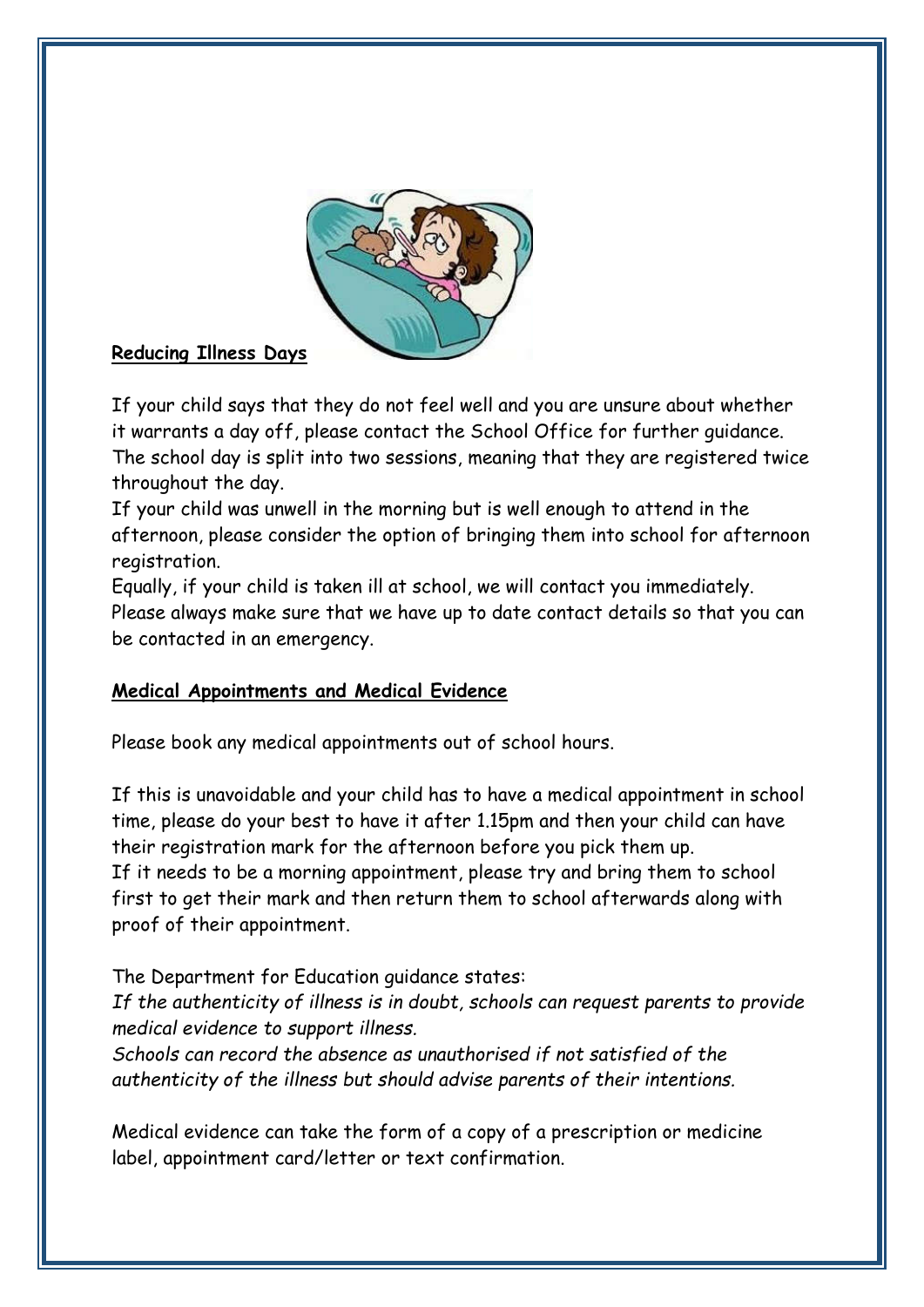

## **Reducing Illness Days**

If your child says that they do not feel well and you are unsure about whether it warrants a day off, please contact the School Office for further guidance. The school day is split into two sessions, meaning that they are registered twice throughout the day.

If your child was unwell in the morning but is well enough to attend in the afternoon, please consider the option of bringing them into school for afternoon registration.

Equally, if your child is taken ill at school, we will contact you immediately. Please always make sure that we have up to date contact details so that you can be contacted in an emergency.

## **Medical Appointments and Medical Evidence**

Please book any medical appointments out of school hours.

If this is unavoidable and your child has to have a medical appointment in school time, please do your best to have it after 1.15pm and then your child can have their registration mark for the afternoon before you pick them up. If it needs to be a morning appointment, please try and bring them to school first to get their mark and then return them to school afterwards along with proof of their appointment.

## The Department for Education guidance states:

*If the authenticity of illness is in doubt, schools can request parents to provide medical evidence to support illness.*

*Schools can record the absence as unauthorised if not satisfied of the authenticity of the illness but should advise parents of their intentions.*

Medical evidence can take the form of a copy of a prescription or medicine label, appointment card/letter or text confirmation.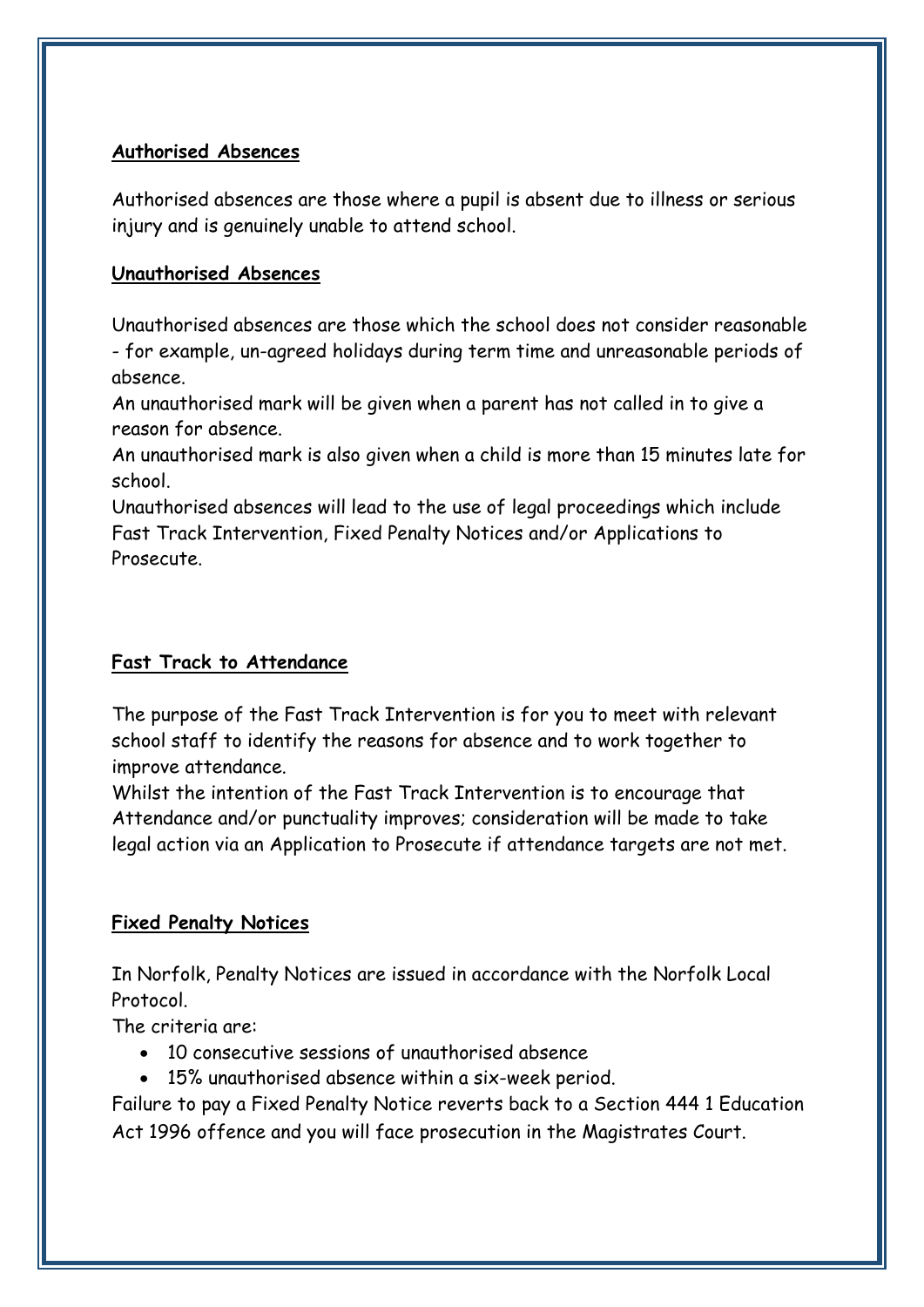#### **Authorised Absences**

Authorised absences are those where a pupil is absent due to illness or serious injury and is genuinely unable to attend school.

#### **Unauthorised Absences**

Unauthorised absences are those which the school does not consider reasonable - for example, un-agreed holidays during term time and unreasonable periods of absence.

An unauthorised mark will be given when a parent has not called in to give a reason for absence.

An unauthorised mark is also given when a child is more than 15 minutes late for school.

Unauthorised absences will lead to the use of legal proceedings which include Fast Track Intervention, Fixed Penalty Notices and/or Applications to Prosecute.

## **Fast Track to Attendance**

The purpose of the Fast Track Intervention is for you to meet with relevant school staff to identify the reasons for absence and to work together to improve attendance.

Whilst the intention of the Fast Track Intervention is to encourage that Attendance and/or punctuality improves; consideration will be made to take legal action via an Application to Prosecute if attendance targets are not met.

## **Fixed Penalty Notices**

In Norfolk, Penalty Notices are issued in accordance with the Norfolk Local Protocol.

The criteria are:

- 10 consecutive sessions of unauthorised absence
- 15% unauthorised absence within a six-week period.

Failure to pay a Fixed Penalty Notice reverts back to a Section 444 1 Education Act 1996 offence and you will face prosecution in the Magistrates Court.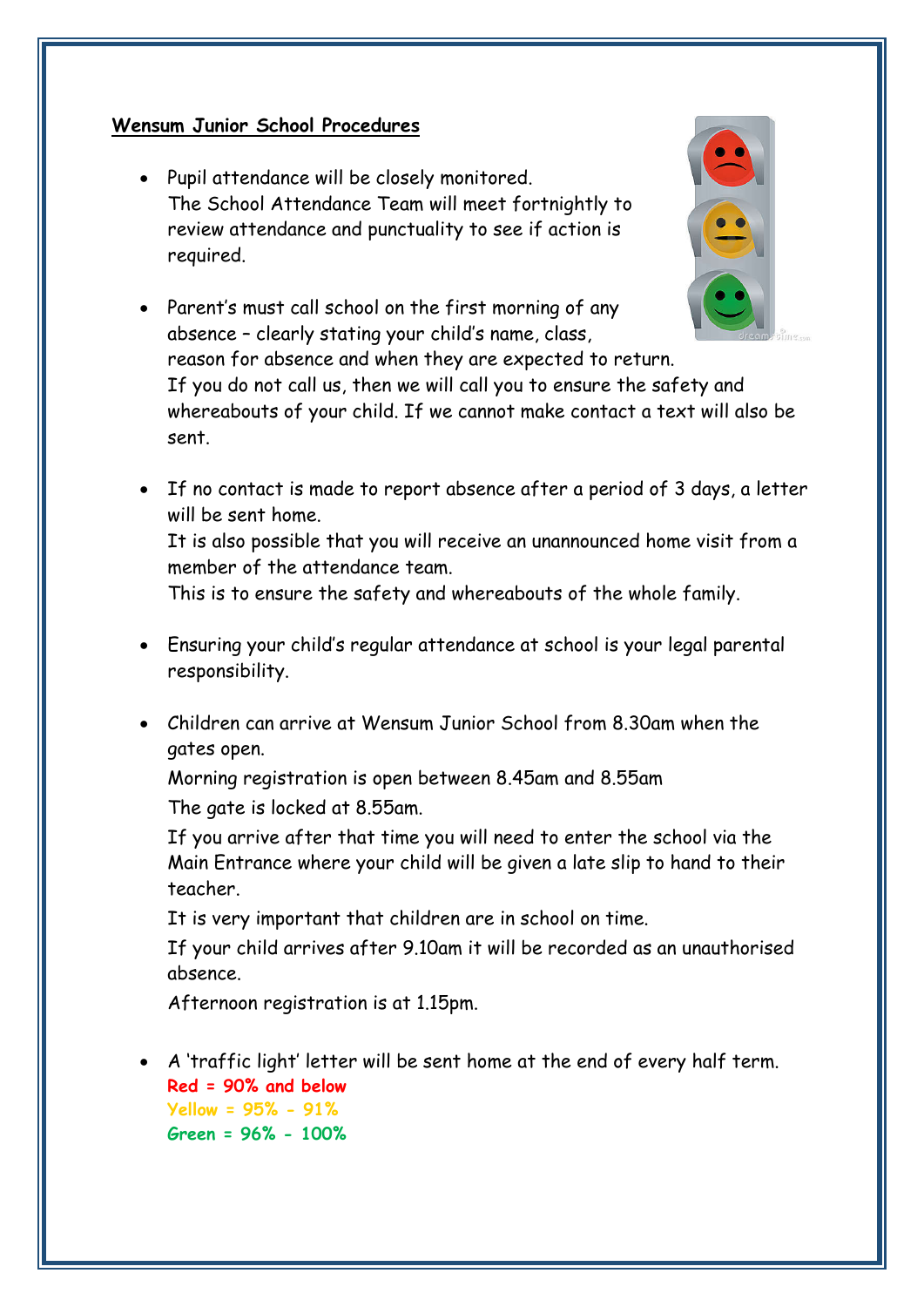#### **Wensum Junior School Procedures**

 Pupil attendance will be closely monitored. The School Attendance Team will meet fortnightly to review attendance and punctuality to see if action is required.





reason for absence and when they are expected to return. If you do not call us, then we will call you to ensure the safety and whereabouts of your child. If we cannot make contact a text will also be sent.

 If no contact is made to report absence after a period of 3 days, a letter will be sent home.

It is also possible that you will receive an unannounced home visit from a member of the attendance team.

This is to ensure the safety and whereabouts of the whole family.

- Ensuring your child's regular attendance at school is your legal parental responsibility.
- Children can arrive at Wensum Junior School from 8.30am when the gates open.

Morning registration is open between 8.45am and 8.55am

The gate is locked at 8.55am.

If you arrive after that time you will need to enter the school via the Main Entrance where your child will be given a late slip to hand to their teacher.

It is very important that children are in school on time.

If your child arrives after 9.10am it will be recorded as an unauthorised absence.

Afternoon registration is at 1.15pm.

 A 'traffic light' letter will be sent home at the end of every half term. **Red = 90% and below Yellow = 95% - 91% Green = 96% - 100%**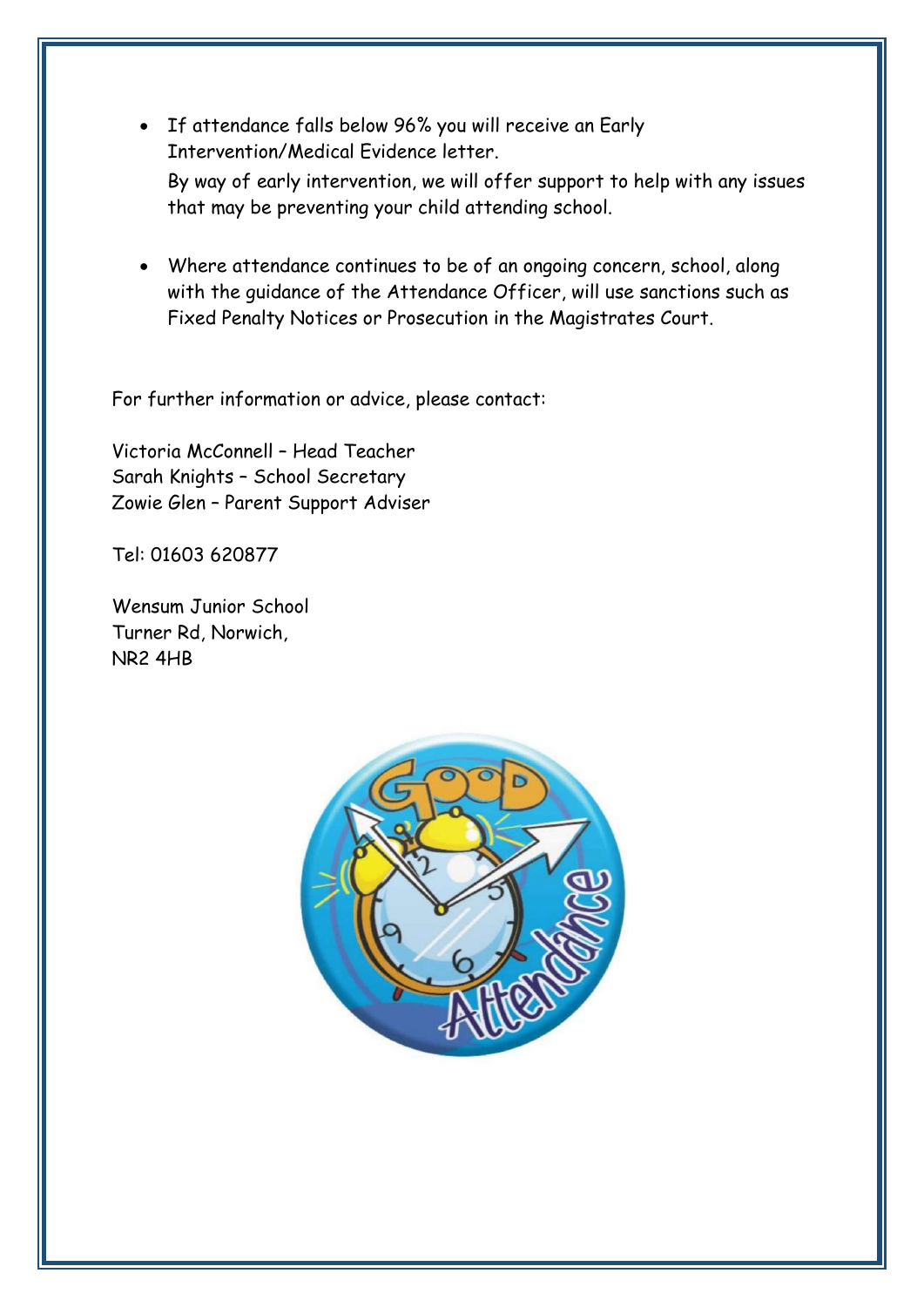- If attendance falls below 96% you will receive an Early Intervention/Medical Evidence letter. By way of early intervention, we will offer support to help with any issues that may be preventing your child attending school.
- Where attendance continues to be of an ongoing concern, school, along with the guidance of the Attendance Officer, will use sanctions such as Fixed Penalty Notices or Prosecution in the Magistrates Court.

For further information or advice, please contact:

Victoria McConnell – Head Teacher Sarah Knights – School Secretary Zowie Glen – Parent Support Adviser

Tel: 01603 620877

Wensum Junior School Turner Rd, Norwich, NR2 4HB